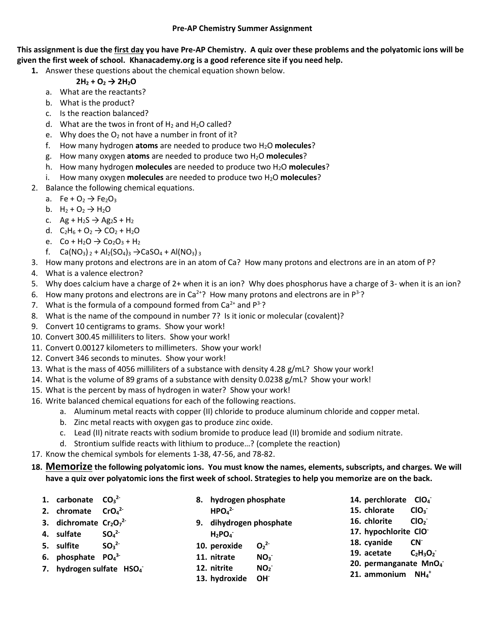## **Pre-AP Chemistry Summer Assignment**

**This assignment is due the first day you have Pre-AP Chemistry. A quiz over these problems and the polyatomic ions will be given the first week of school. Khanacademy.org is a good reference site if you need help.**

**1.** Answer these questions about the chemical equation shown below.

## $2H_2 + O_2 \rightarrow 2H_2O$

- a. What are the reactants?
- b. What is the product?
- c. Is the reaction balanced?
- d. What are the twos in front of  $H_2$  and  $H_2O$  called?
- e. Why does the  $O_2$  not have a number in front of it?
- f. How many hydrogen **atoms** are needed to produce two H2O **molecules**?
- g. How many oxygen **atoms** are needed to produce two H2O **molecules**?
- h. How many hydrogen **molecules** are needed to produce two H2O **molecules**?
- i. How many oxygen **molecules** are needed to produce two H2O **molecules**?
- 2. Balance the following chemical equations.
	- a. Fe +  $O_2 \rightarrow Fe_2O_3$
	- b.  $H_2 + O_2 \rightarrow H_2O$
	- c.  $Ag + H_2S \rightarrow Ag_2S + H_2$
	- d.  $C_2H_6 + O_2 \rightarrow CO_2 + H_2O$
	- e.  $Co + H_2O \rightarrow Co_2O_3 + H_2$
	- f. Ca(NO<sub>3</sub>)  $_2$  + Al<sub>2</sub>(SO<sub>4</sub>)<sub>3</sub>  $\rightarrow$  CaSO<sub>4</sub> + Al(NO<sub>3</sub>) <sub>3</sub>
- 3. How many protons and electrons are in an atom of Ca? How many protons and electrons are in an atom of P?
- 4. What is a valence electron?
- 5. Why does calcium have a charge of 2+ when it is an ion? Why does phosphorus have a charge of 3- when it is an ion?
- 6. How many protons and electrons are in Ca<sup>2+</sup>? How many protons and electrons are in  $P^3$ -?
- 7. What is the formula of a compound formed from  $Ca^{2+}$  and  $P^{3-}$ ?
- 8. What is the name of the compound in number 7? Is it ionic or molecular (covalent)?
- 9. Convert 10 centigrams to grams. Show your work!
- 10. Convert 300.45 milliliters to liters. Show your work!
- 11. Convert 0.00127 kilometers to millimeters. Show your work!
- 12. Convert 346 seconds to minutes. Show your work!
- 13. What is the mass of 4056 milliliters of a substance with density 4.28 g/mL? Show your work!
- 14. What is the volume of 89 grams of a substance with density 0.0238 g/mL? Show your work!
- 15. What is the percent by mass of hydrogen in water? Show your work!
- 16. Write balanced chemical equations for each of the following reactions.
	- a. Aluminum metal reacts with copper (II) chloride to produce aluminum chloride and copper metal.
	- b. Zinc metal reacts with oxygen gas to produce zinc oxide.
	- c. Lead (II) nitrate reacts with sodium bromide to produce lead (II) bromide and sodium nitrate.
	- d. Strontium sulfide reacts with lithium to produce…? (complete the reaction)
- 17. Know the chemical symbols for elements 1-38, 47-56, and 78-82.
- **18. Memorize the following polyatomic ions. You must know the names, elements, subscripts, and charges. We will have a quiz over polyatomic ions the first week of school. Strategies to help you memorize are on the back.**

|  | 1. carbonate $CO_3^2$      |                              |             | 8. hydrogen phosphate       |                                   |                            | 14. perchlorate CIO <sub>4</sub> |                                  |
|--|----------------------------|------------------------------|-------------|-----------------------------|-----------------------------------|----------------------------|----------------------------------|----------------------------------|
|  | 2. chromate $CrO42$        |                              |             | HPOa <sup>2</sup>           |                                   |                            | 15. chlorate                     | CIO <sub>3</sub>                 |
|  | 3. dichromate $Cr_2O_7^2$  |                              |             | 9. dihydrogen phosphate     |                                   |                            | 16. chlorite                     | ClO <sub>2</sub>                 |
|  | 4. sulfate                 | SO <sub>4</sub> <sup>2</sup> |             | $H_2PO_4^-$                 |                                   |                            | 17. hypochlorite CIO             |                                  |
|  | 5. sulfite                 | $SO_3^{2-}$                  |             | 10. peroxide<br>11. nitrate | O <sub>2</sub> <sup>2</sup>       | 18. cyanide<br>19. acetate |                                  | CN <sup>-</sup><br>$C_2H_3O_2^-$ |
|  | 6. phosphate $PO_4^{3-}$   |                              |             |                             | NO <sub>3</sub>                   |                            |                                  |                                  |
|  | 7. hydrogen sulfate $HSO4$ |                              | 12. nitrite | NO <sub>2</sub>             | 20. permanganate MnO <sub>4</sub> |                            |                                  |                                  |
|  |                            |                              |             | 13. hydroxide OH            |                                   | 21. ammonium $NH_4^+$      |                                  |                                  |